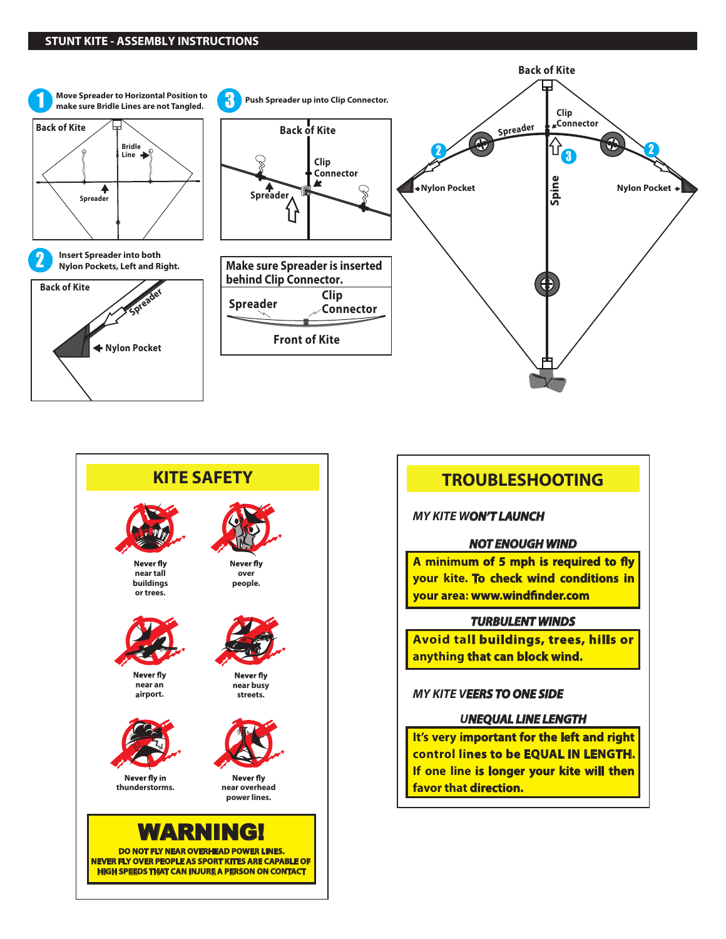#### **STUNT KITE - ASSEMBLY INSTRUCTIONS**





# **TROUBLESHOOTING**

*MY KITE WON'T LAUNCH*

#### *NOT ENOUGH WIND*

A minimum of 5 mph is required to fly **your kite. To check wind conditions in** your area: www.windfinder.com

## *TURBULENT WINDS*

**Avoid tall buildings, trees, hills or anything that can block wind.**

## *MY KITE VEERS TO ONE SIDE*

## *UNEQUAL LINE LENGTH*

**It's very important for the left and right control lines to be EQUAL IN LENGTH. If one line is longer your kite will then favor that direction.**